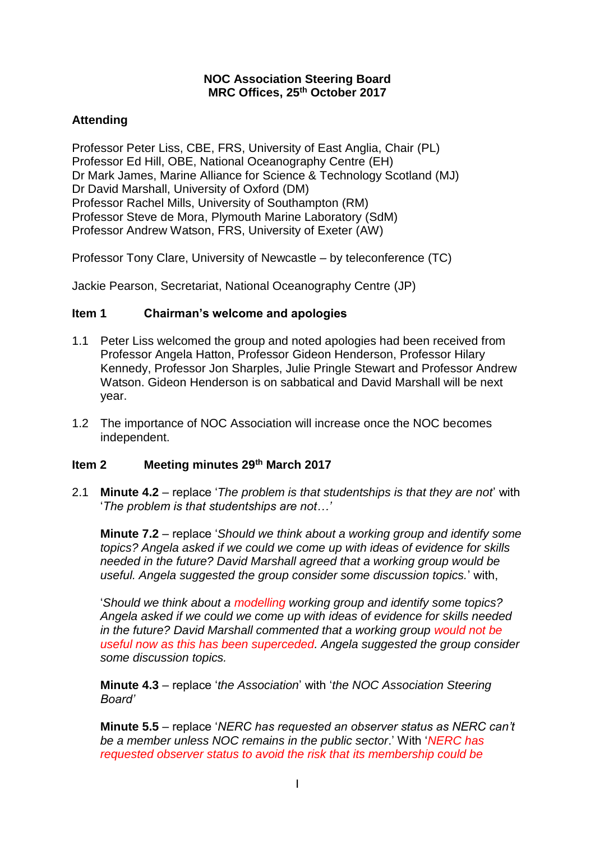#### **NOC Association Steering Board MRC Offices, 25th October 2017**

# **Attending**

Professor Peter Liss, CBE, FRS, University of East Anglia, Chair (PL) Professor Ed Hill, OBE, National Oceanography Centre (EH) Dr Mark James, [Marine Alliance for Science & Technology Scotland](https://risweb.st-andrews.ac.uk/portal/en/organisations/marine-alliance-for-science--technology-scotland(432a4cc8-5aa9-4b05-82ad-fe68604f9df1).html) (MJ) Dr David Marshall, University of Oxford (DM) Professor Rachel Mills, University of Southampton (RM) Professor Steve de Mora, Plymouth Marine Laboratory (SdM) Professor Andrew Watson, FRS, University of Exeter (AW)

Professor Tony Clare, University of Newcastle – by teleconference (TC)

Jackie Pearson, Secretariat, National Oceanography Centre (JP)

# **Item 1 Chairman's welcome and apologies**

- 1.1 Peter Liss welcomed the group and noted apologies had been received from Professor Angela Hatton, Professor Gideon Henderson, Professor Hilary Kennedy, Professor Jon Sharples, Julie Pringle Stewart and Professor Andrew Watson. Gideon Henderson is on sabbatical and David Marshall will be next year.
- 1.2 The importance of NOC Association will increase once the NOC becomes independent.

## **Item 2 Meeting minutes 29th March 2017**

2.1 **Minute 4.2** – replace '*The problem is that studentships is that they are not*' with '*The problem is that studentships are not…'*

**Minute 7.2** – replace '*Should we think about a working group and identify some topics? Angela asked if we could we come up with ideas of evidence for skills needed in the future? David Marshall agreed that a working group would be useful. Angela suggested the group consider some discussion topics.*' with,

'*Should we think about a modelling working group and identify some topics? Angela asked if we could we come up with ideas of evidence for skills needed in the future? David Marshall commented that a working group would not be useful now as this has been superceded. Angela suggested the group consider some discussion topics.* 

**Minute 4.3** – replace '*the Association*' with '*the NOC Association Steering Board'*

**Minute 5.5** – replace '*NERC has requested an observer status as NERC can't be a member unless NOC remains in the public sector*.' With '*NERC has requested observer status to avoid the risk that its membership could be*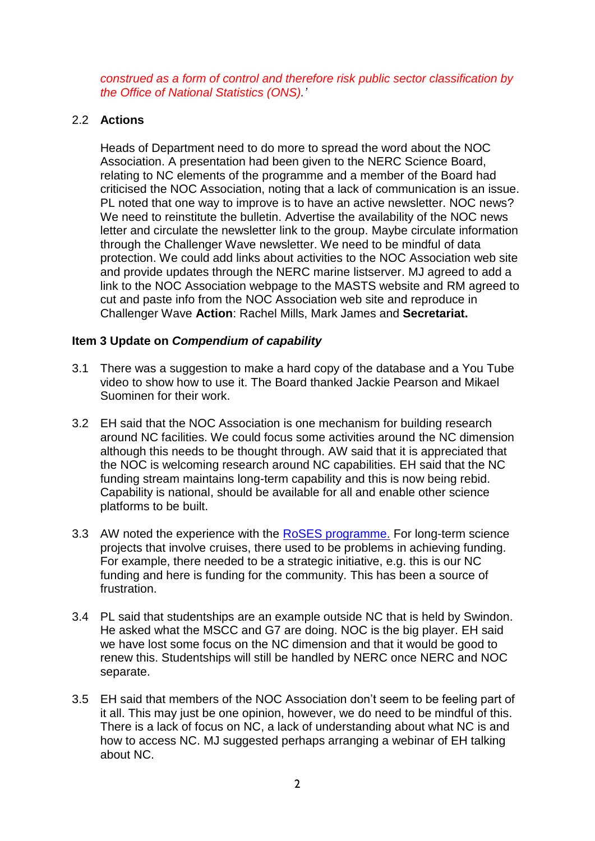*construed as a form of control and therefore risk public sector classification by the Office of National Statistics (ONS).'*

### 2.2 **Actions**

Heads of Department need to do more to spread the word about the NOC Association. A presentation had been given to the NERC Science Board, relating to NC elements of the programme and a member of the Board had criticised the NOC Association, noting that a lack of communication is an issue. PL noted that one way to improve is to have an active newsletter. NOC news? We need to reinstitute the bulletin. Advertise the availability of the NOC news letter and circulate the newsletter link to the group. Maybe circulate information through the Challenger Wave newsletter. We need to be mindful of data protection. We could add links about activities to the NOC Association web site and provide updates through the NERC marine listserver. MJ agreed to add a link to the NOC Association webpage to the MASTS website and RM agreed to cut and paste info from the NOC Association web site and reproduce in Challenger Wave **Action**: Rachel Mills, Mark James and **Secretariat.**

#### **Item 3 Update on** *Compendium of capability*

- 3.1 There was a suggestion to make a hard copy of the database and a You Tube video to show how to use it. The Board thanked Jackie Pearson and Mikael Suominen for their work.
- 3.2 EH said that the NOC Association is one mechanism for building research around NC facilities. We could focus some activities around the NC dimension although this needs to be thought through. AW said that it is appreciated that the NOC is welcoming research around NC capabilities. EH said that the NC funding stream maintains long-term capability and this is now being rebid. Capability is national, should be available for all and enable other science platforms to be built.
- 3.3 AW noted the experience with the [RoSES programme.](https://nerc.ukri.org/research/funded/programmes/roses/news/ao-roses/) For long-term science projects that involve cruises, there used to be problems in achieving funding. For example, there needed to be a strategic initiative, e.g. this is our NC funding and here is funding for the community. This has been a source of frustration.
- 3.4 PL said that studentships are an example outside NC that is held by Swindon. He asked what the MSCC and G7 are doing. NOC is the big player. EH said we have lost some focus on the NC dimension and that it would be good to renew this. Studentships will still be handled by NERC once NERC and NOC separate.
- 3.5 EH said that members of the NOC Association don't seem to be feeling part of it all. This may just be one opinion, however, we do need to be mindful of this. There is a lack of focus on NC, a lack of understanding about what NC is and how to access NC. MJ suggested perhaps arranging a webinar of EH talking about NC.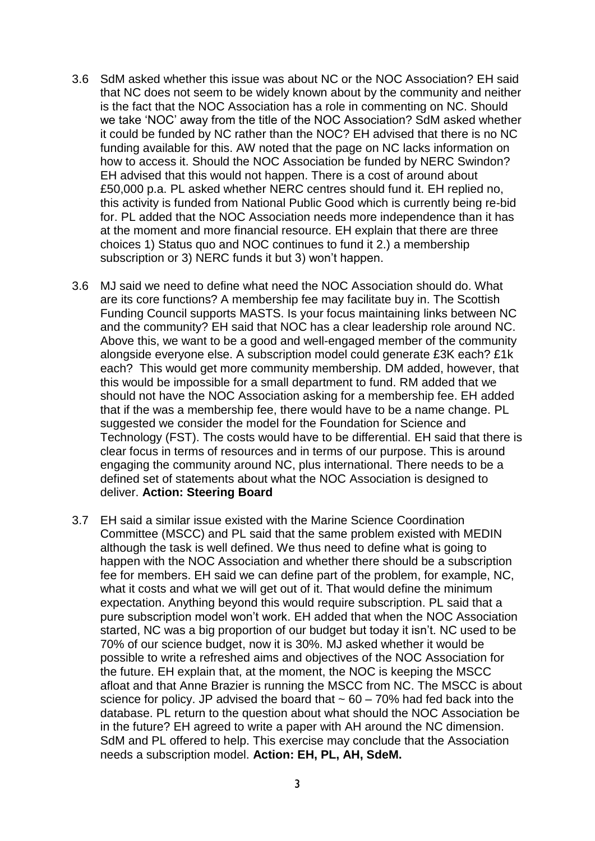- 3.6 SdM asked whether this issue was about NC or the NOC Association? EH said that NC does not seem to be widely known about by the community and neither is the fact that the NOC Association has a role in commenting on NC. Should we take 'NOC' away from the title of the NOC Association? SdM asked whether it could be funded by NC rather than the NOC? EH advised that there is no NC funding available for this. AW noted that the page on NC lacks information on how to access it. Should the NOC Association be funded by NERC Swindon? EH advised that this would not happen. There is a cost of around about £50,000 p.a. PL asked whether NERC centres should fund it. EH replied no, this activity is funded from National Public Good which is currently being re-bid for. PL added that the NOC Association needs more independence than it has at the moment and more financial resource. EH explain that there are three choices 1) Status quo and NOC continues to fund it 2.) a membership subscription or 3) NERC funds it but 3) won't happen.
- 3.6 MJ said we need to define what need the NOC Association should do. What are its core functions? A membership fee may facilitate buy in. The Scottish Funding Council supports MASTS. Is your focus maintaining links between NC and the community? EH said that NOC has a clear leadership role around NC. Above this, we want to be a good and well-engaged member of the community alongside everyone else. A subscription model could generate £3K each? £1k each? This would get more community membership. DM added, however, that this would be impossible for a small department to fund. RM added that we should not have the NOC Association asking for a membership fee. EH added that if the was a membership fee, there would have to be a name change. PL suggested we consider the model for the Foundation for Science and Technology (FST). The costs would have to be differential. EH said that there is clear focus in terms of resources and in terms of our purpose. This is around engaging the community around NC, plus international. There needs to be a defined set of statements about what the NOC Association is designed to deliver. **Action: Steering Board**
- 3.7 EH said a similar issue existed with the Marine Science Coordination Committee (MSCC) and PL said that the same problem existed with MEDIN although the task is well defined. We thus need to define what is going to happen with the NOC Association and whether there should be a subscription fee for members. EH said we can define part of the problem, for example, NC, what it costs and what we will get out of it. That would define the minimum expectation. Anything beyond this would require subscription. PL said that a pure subscription model won't work. EH added that when the NOC Association started, NC was a big proportion of our budget but today it isn't. NC used to be 70% of our science budget, now it is 30%. MJ asked whether it would be possible to write a refreshed aims and objectives of the NOC Association for the future. EH explain that, at the moment, the NOC is keeping the MSCC afloat and that Anne Brazier is running the MSCC from NC. The MSCC is about science for policy. JP advised the board that  $\sim 60 - 70\%$  had fed back into the database. PL return to the question about what should the NOC Association be in the future? EH agreed to write a paper with AH around the NC dimension. SdM and PL offered to help. This exercise may conclude that the Association needs a subscription model. **Action: EH, PL, AH, SdeM.**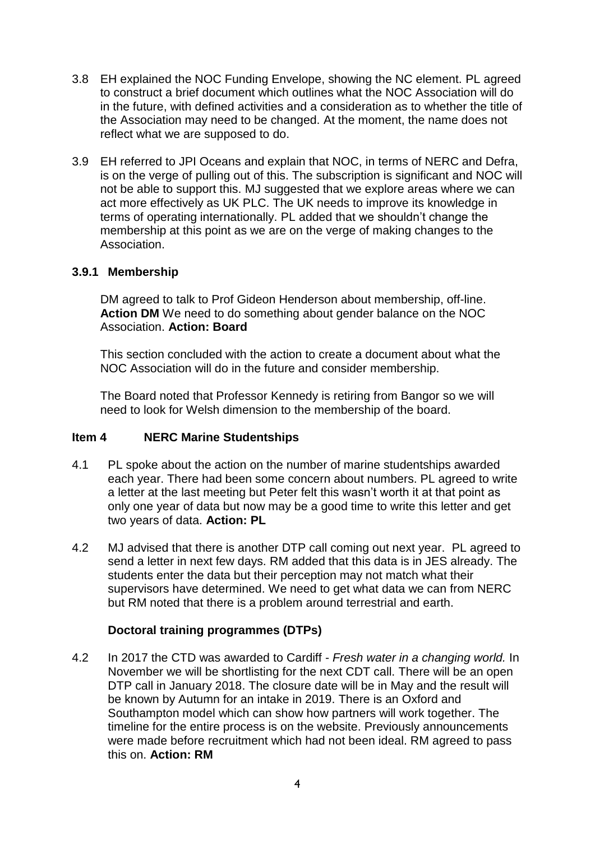- 3.8 EH explained the NOC Funding Envelope, showing the NC element. PL agreed to construct a brief document which outlines what the NOC Association will do in the future, with defined activities and a consideration as to whether the title of the Association may need to be changed. At the moment, the name does not reflect what we are supposed to do.
- 3.9 EH referred to JPI Oceans and explain that NOC, in terms of NERC and Defra, is on the verge of pulling out of this. The subscription is significant and NOC will not be able to support this. MJ suggested that we explore areas where we can act more effectively as UK PLC. The UK needs to improve its knowledge in terms of operating internationally. PL added that we shouldn't change the membership at this point as we are on the verge of making changes to the Association.

### **3.9.1 Membership**

DM agreed to talk to Prof Gideon Henderson about membership, off-line. **Action DM** We need to do something about gender balance on the NOC Association. **Action: Board**

This section concluded with the action to create a document about what the NOC Association will do in the future and consider membership.

The Board noted that Professor Kennedy is retiring from Bangor so we will need to look for Welsh dimension to the membership of the board.

#### **Item 4 NERC Marine Studentships**

- 4.1 PL spoke about the action on the number of marine studentships awarded each year. There had been some concern about numbers. PL agreed to write a letter at the last meeting but Peter felt this wasn't worth it at that point as only one year of data but now may be a good time to write this letter and get two years of data. **Action: PL**
- 4.2 MJ advised that there is another DTP call coming out next year. PL agreed to send a letter in next few days. RM added that this data is in JES already. The students enter the data but their perception may not match what their supervisors have determined. We need to get what data we can from NERC but RM noted that there is a problem around terrestrial and earth.

## **Doctoral training programmes (DTPs)**

4.2 In 2017 the CTD was awarded to Cardiff - *Fresh water in a changing world.* In November we will be shortlisting for the next CDT call. There will be an open DTP call in January 2018. The closure date will be in May and the result will be known by Autumn for an intake in 2019. There is an Oxford and Southampton model which can show how partners will work together. The timeline for the entire process is on the website. Previously announcements were made before recruitment which had not been ideal. RM agreed to pass this on. **Action: RM**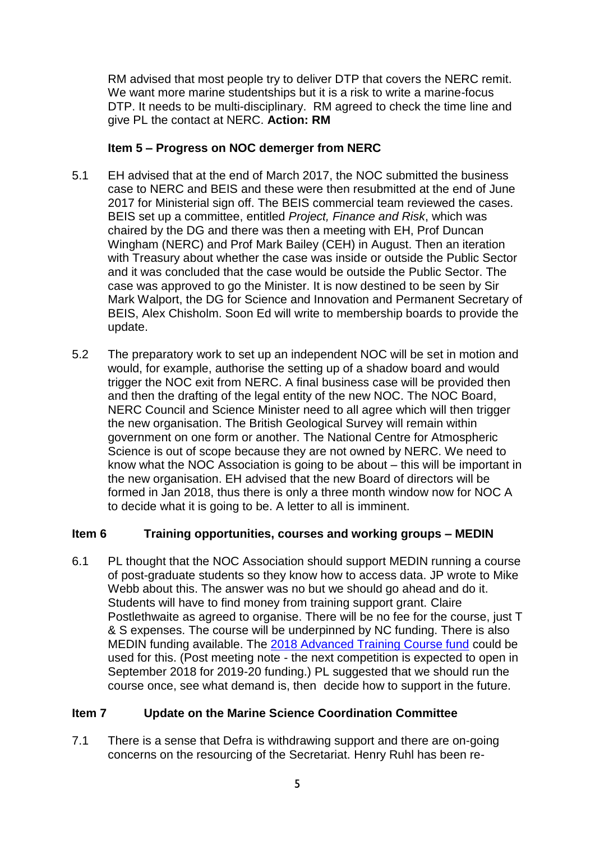RM advised that most people try to deliver DTP that covers the NERC remit. We want more marine studentships but it is a risk to write a marine-focus DTP. It needs to be multi-disciplinary. RM agreed to check the time line and give PL the contact at NERC. **Action: RM**

## **Item 5 – Progress on NOC demerger from NERC**

- 5.1 EH advised that at the end of March 2017, the NOC submitted the business case to NERC and BEIS and these were then resubmitted at the end of June 2017 for Ministerial sign off. The BEIS commercial team reviewed the cases. BEIS set up a committee, entitled *Project, Finance and Risk*, which was chaired by the DG and there was then a meeting with EH, Prof Duncan Wingham (NERC) and Prof Mark Bailey (CEH) in August. Then an iteration with Treasury about whether the case was inside or outside the Public Sector and it was concluded that the case would be outside the Public Sector. The case was approved to go the Minister. It is now destined to be seen by Sir Mark Walport, the DG for Science and Innovation and Permanent Secretary of BEIS, Alex Chisholm. Soon Ed will write to membership boards to provide the update.
- 5.2 The preparatory work to set up an independent NOC will be set in motion and would, for example, authorise the setting up of a shadow board and would trigger the NOC exit from NERC. A final business case will be provided then and then the drafting of the legal entity of the new NOC. The NOC Board, NERC Council and Science Minister need to all agree which will then trigger the new organisation. The British Geological Survey will remain within government on one form or another. The National Centre for Atmospheric Science is out of scope because they are not owned by NERC. We need to know what the NOC Association is going to be about – this will be important in the new organisation. EH advised that the new Board of directors will be formed in Jan 2018, thus there is only a three month window now for NOC A to decide what it is going to be. A letter to all is imminent.

## **Item 6 Training opportunities, courses and working groups – MEDIN**

6.1 PL thought that the NOC Association should support MEDIN running a course of post-graduate students so they know how to access data. JP wrote to Mike Webb about this. The answer was no but we should go ahead and do it. Students will have to find money from training support grant. Claire Postlethwaite as agreed to organise. There will be no fee for the course, just T & S expenses. The course will be underpinned by NC funding. There is also MEDIN funding available. The [2018 Advanced Training Course fund](https://nerc.ukri.org/funding/available/postgrad/advanced/atsc/) could be used for this. (Post meeting note - the next competition is expected to open in September 2018 for 2019-20 funding.) PL suggested that we should run the course once, see what demand is, then decide how to support in the future.

## **Item 7 Update on the Marine Science Coordination Committee**

7.1 There is a sense that Defra is withdrawing support and there are on-going concerns on the resourcing of the Secretariat. Henry Ruhl has been re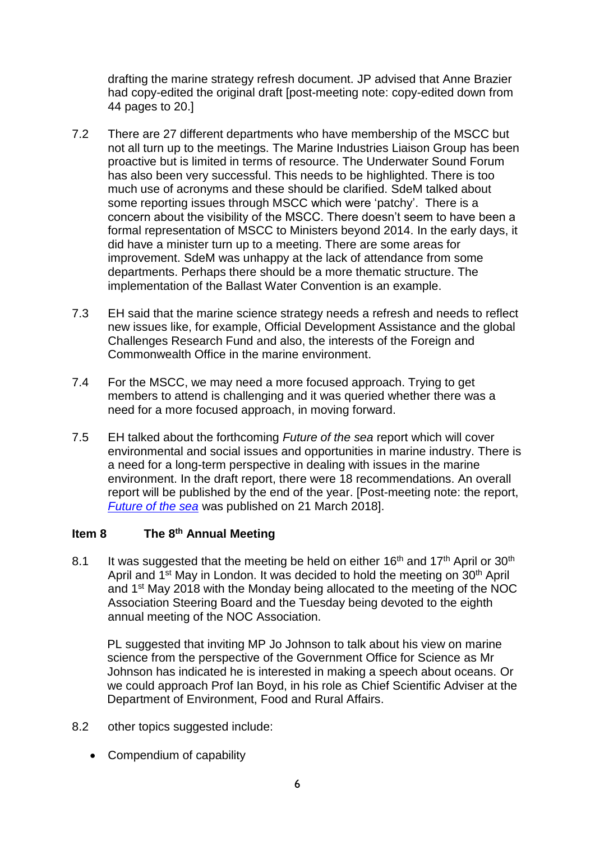drafting the marine strategy refresh document. JP advised that Anne Brazier had copy-edited the original draft [post-meeting note: copy-edited down from 44 pages to 20.]

- 7.2 There are 27 different departments who have membership of the MSCC but not all turn up to the meetings. The Marine Industries Liaison Group has been proactive but is limited in terms of resource. The Underwater Sound Forum has also been very successful. This needs to be highlighted. There is too much use of acronyms and these should be clarified. SdeM talked about some reporting issues through MSCC which were 'patchy'. There is a concern about the visibility of the MSCC. There doesn't seem to have been a formal representation of MSCC to Ministers beyond 2014. In the early days, it did have a minister turn up to a meeting. There are some areas for improvement. SdeM was unhappy at the lack of attendance from some departments. Perhaps there should be a more thematic structure. The implementation of the Ballast Water Convention is an example.
- 7.3 EH said that the marine science strategy needs a refresh and needs to reflect new issues like, for example, Official Development Assistance and the global Challenges Research Fund and also, the interests of the Foreign and Commonwealth Office in the marine environment.
- 7.4 For the MSCC, we may need a more focused approach. Trying to get members to attend is challenging and it was queried whether there was a need for a more focused approach, in moving forward.
- 7.5 EH talked about the forthcoming *Future of the sea* report which will cover environmental and social issues and opportunities in marine industry. There is a need for a long-term perspective in dealing with issues in the marine environment. In the draft report, there were 18 recommendations. An overall report will be published by the end of the year. [Post-meeting note: the report, *[Future of the sea](https://assets.publishing.service.gov.uk/government/uploads/system/uploads/attachment_data/file/693129/future-of-the-sea-report.pdf)* was published on 21 March 2018].

#### **Item 8 The 8th Annual Meeting**

8.1 It was suggested that the meeting be held on either  $16<sup>th</sup>$  and  $17<sup>th</sup>$  April or  $30<sup>th</sup>$ April and 1<sup>st</sup> May in London. It was decided to hold the meeting on 30<sup>th</sup> April and 1st May 2018 with the Monday being allocated to the meeting of the NOC Association Steering Board and the Tuesday being devoted to the eighth annual meeting of the NOC Association.

PL suggested that inviting MP Jo Johnson to talk about his view on marine science from the perspective of the Government Office for Science as Mr Johnson has indicated he is interested in making a speech about oceans. Or we could approach Prof Ian Boyd, in his role as Chief Scientific Adviser at the Department of Environment, Food and Rural Affairs.

- 8.2 other topics suggested include:
	- Compendium of capability